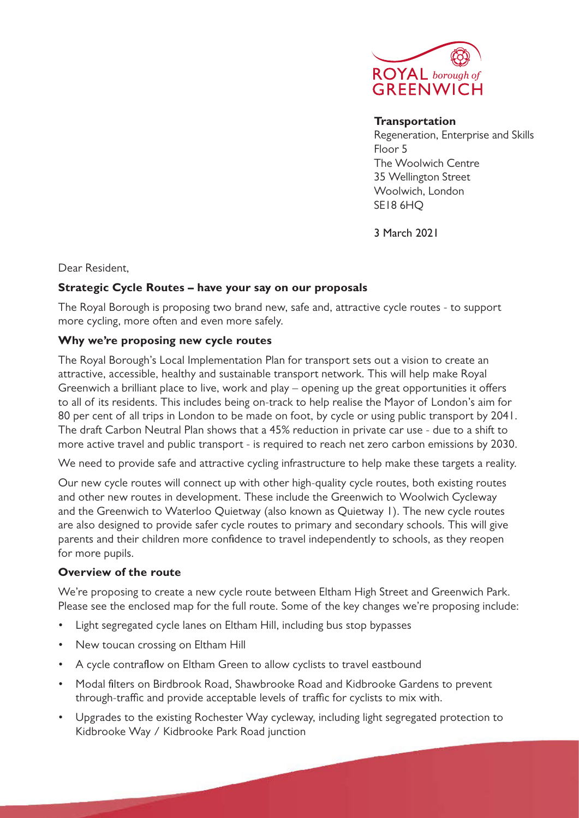

#### **Transportation**

Regeneration, Enterprise and Skills Floor 5 The Woolwich Centre 35 Wellington Street Woolwich, London SE18 6HQ

3 March 2021

Dear Resident,

## **Strategic Cycle Routes – have your say on our proposals**

The Royal Borough is proposing two brand new, safe and, attractive cycle routes - to support more cycling, more often and even more safely.

# **Why we're proposing new cycle routes**

The Royal Borough's Local Implementation Plan for transport sets out a vision to create an attractive, accessible, healthy and sustainable transport network. This will help make Royal Greenwich a brilliant place to live, work and play – opening up the great opportunities it offers to all of its residents. This includes being on-track to help realise the Mayor of London's aim for 80 per cent of all trips in London to be made on foot, by cycle or using public transport by 2041. The draft Carbon Neutral Plan shows that a 45% reduction in private car use - due to a shift to more active travel and public transport - is required to reach net zero carbon emissions by 2030.

We need to provide safe and attractive cycling infrastructure to help make these targets a reality.

Our new cycle routes will connect up with other high-quality cycle routes, both existing routes and other new routes in development. These include the Greenwich to Woolwich Cycleway and the Greenwich to Waterloo Quietway (also known as Quietway 1). The new cycle routes are also designed to provide safer cycle routes to primary and secondary schools. This will give parents and their children more confidence to travel independently to schools, as they reopen for more pupils.

# **Overview of the route**

We're proposing to create a new cycle route between Eltham High Street and Greenwich Park. Please see the enclosed map for the full route. Some of the key changes we're proposing include:

- Light segregated cycle lanes on Eltham Hill, including bus stop bypasses
- New toucan crossing on Eltham Hill
- A cycle contraflow on Eltham Green to allow cyclists to travel eastbound
- Modal filters on Birdbrook Road, Shawbrooke Road and Kidbrooke Gardens to prevent through-traffic and provide acceptable levels of traffic for cyclists to mix with.
- Upgrades to the existing Rochester Way cycleway, including light segregated protection to Kidbrooke Way / Kidbrooke Park Road junction